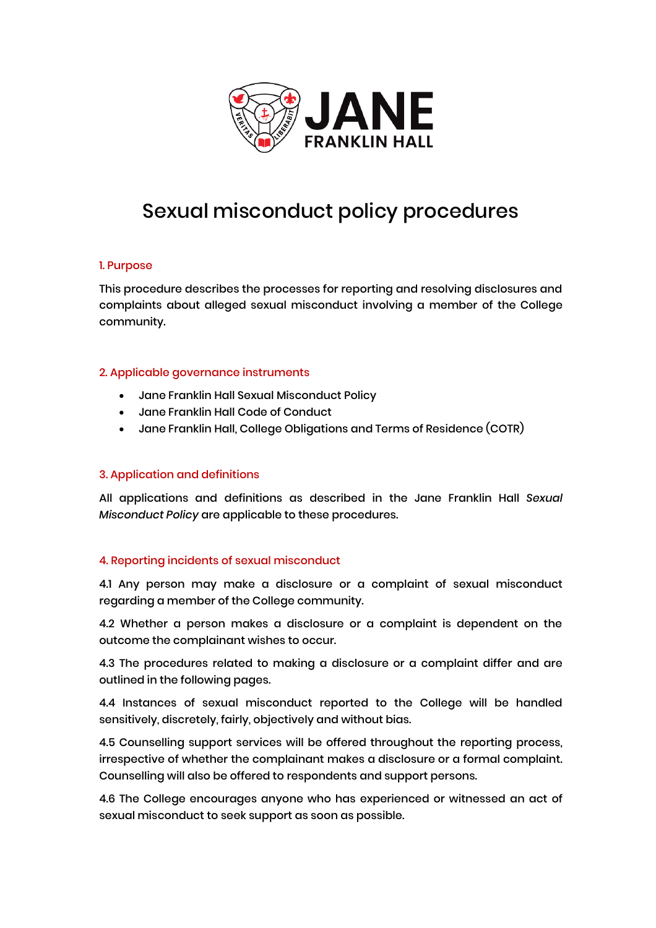

## Sexual misconduct policy procedures

#### 1. Purpose

This procedure describes the processes for reporting and resolving disclosures and complaints about alleged sexual misconduct involving a member of the College community.

#### 2. Applicable governance instruments

- Jane Franklin Hall Sexual Misconduct Policy
- Jane Franklin Hall Code of Conduct
- Jane Franklin Hall, College Obligations and Terms of Residence (COTR)

#### 3. Application and definitions

All applications and definitions as described in the Jane Franklin Hall *Sexual Misconduct Policy* are applicable to these procedures.

#### 4. Reporting incidents of sexual misconduct

4.1 Any person may make a disclosure or a complaint of sexual misconduct regarding a member of the College community.

4.2 Whether a person makes a disclosure or a complaint is dependent on the outcome the complainant wishes to occur.

4.3 The procedures related to making a disclosure or a complaint differ and are outlined in the following pages.

4.4 Instances of sexual misconduct reported to the College will be handled sensitively, discretely, fairly, objectively and without bias.

4.5 Counselling support services will be offered throughout the reporting process, irrespective of whether the complainant makes a disclosure or a formal complaint. Counselling will also be offered to respondents and support persons.

4.6 The College encourages anyone who has experienced or witnessed an act of sexual misconduct to seek support as soon as possible.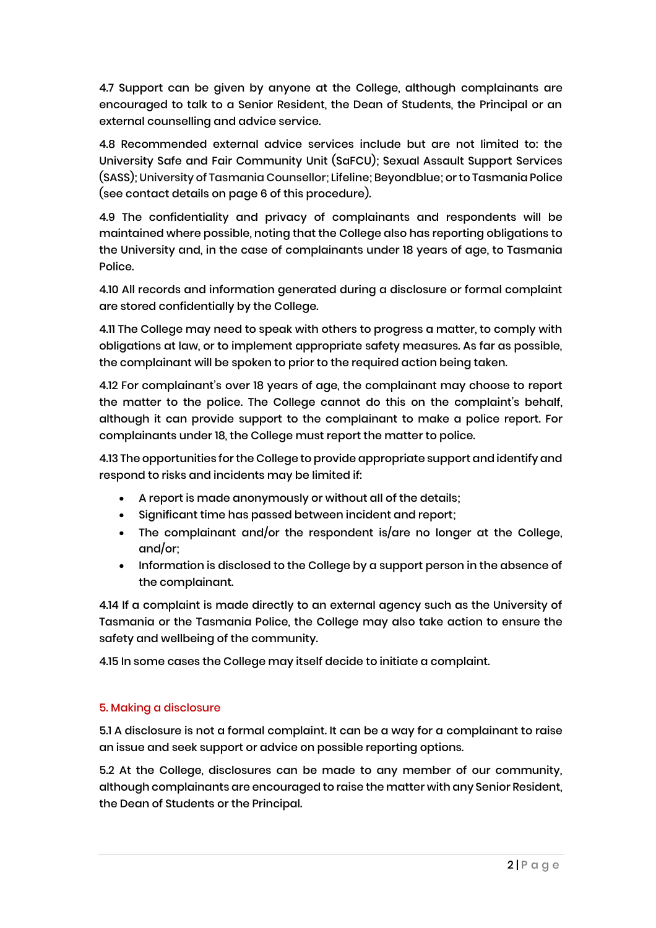4.7 Support can be given by anyone at the College, although complainants are encouraged to talk to a Senior Resident, the Dean of Students, the Principal or an external counselling and advice service.

4.8 Recommended external advice services include but are not limited to: the University Safe and Fair Community Unit (SaFCU); Sexual Assault Support Services (SASS); University of Tasmania Counsellor; Lifeline; Beyondblue; or to Tasmania Police (see contact details on page 6 of this procedure).

4.9 The confidentiality and privacy of complainants and respondents will be maintained where possible, noting that the College also has reporting obligations to the University and, in the case of complainants under 18 years of age, to Tasmania Police.

4.10 All records and information generated during a disclosure or formal complaint are stored confidentially by the College.

4.11 The College may need to speak with others to progress a matter, to comply with obligations at law, or to implement appropriate safety measures. As far as possible, the complainant will be spoken to prior to the required action being taken.

4.12 For complainant's over 18 years of age, the complainant may choose to report the matter to the police. The College cannot do this on the complaint's behalf, although it can provide support to the complainant to make a police report. For complainants under 18, the College must report the matter to police.

4.13 The opportunities for the College to provide appropriate support and identify and respond to risks and incidents may be limited if:

- A report is made anonymously or without all of the details;
- Significant time has passed between incident and report;
- The complainant and/or the respondent is/are no longer at the College, and/or;
- Information is disclosed to the College by a support person in the absence of the complainant.

4.14 If a complaint is made directly to an external agency such as the University of Tasmania or the Tasmania Police, the College may also take action to ensure the safety and wellbeing of the community.

4.15 In some cases the College may itself decide to initiate a complaint.

#### 5. Making a disclosure

5.1 A disclosure is not a formal complaint. It can be a way for a complainant to raise an issue and seek support or advice on possible reporting options.

5.2 At the College, disclosures can be made to any member of our community, although complainants are encouraged to raise the matter with any Senior Resident, the Dean of Students or the Principal.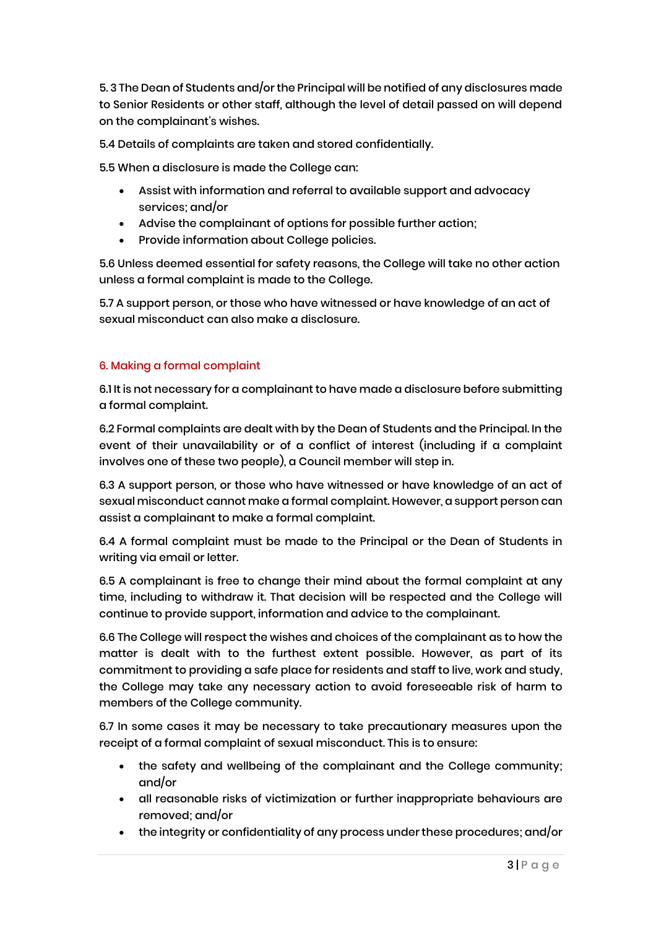5. 3 The Dean of Students and/or the Principal will be notified of any disclosures made to Senior Residents or other staff, although the level of detail passed on will depend on the complainant's wishes.

5.4 Details of complaints are taken and stored confidentially.

5.5 When a disclosure is made the College can:

- Assist with information and referral to available support and advocacy services; and/or
- Advise the complainant of options for possible further action;
- Provide information about College policies.

5.6 Unless deemed essential for safety reasons, the College will take no other action unless a formal complaint is made to the College.

5.7 A support person, or those who have witnessed or have knowledge of an act of sexual misconduct can also make a disclosure.

#### 6. Making a formal complaint

6.1 It is not necessary for a complainant to have made a disclosure before submitting a formal complaint.

6.2 Formal complaints are dealt with by the Dean of Students and the Principal. In the event of their unavailability or of a conflict of interest (including if a complaint involves one of these two people), a Council member will step in.

6.3 A support person, or those who have witnessed or have knowledge of an act of sexual misconduct cannot make a formal complaint. However, a support person can assist a complainant to make a formal complaint.

6.4 A formal complaint must be made to the Principal or the Dean of Students in writing via email or letter.

6.5 A complainant is free to change their mind about the formal complaint at any time, including to withdraw it. That decision will be respected and the College will continue to provide support, information and advice to the complainant.

6.6 The College will respect the wishes and choices of the complainant as to how the matter is dealt with to the furthest extent possible. However, as part of its commitment to providing a safe place for residents and staff to live, work and study, the College may take any necessary action to avoid foreseeable risk of harm to members of the College community.

6.7 In some cases it may be necessary to take precautionary measures upon the receipt of a formal complaint of sexual misconduct. This is to ensure:

- the safety and wellbeing of the complainant and the College community; and/or
- all reasonable risks of victimization or further inappropriate behaviours are removed; and/or
- the integrity or confidentiality of any process under these procedures; and/or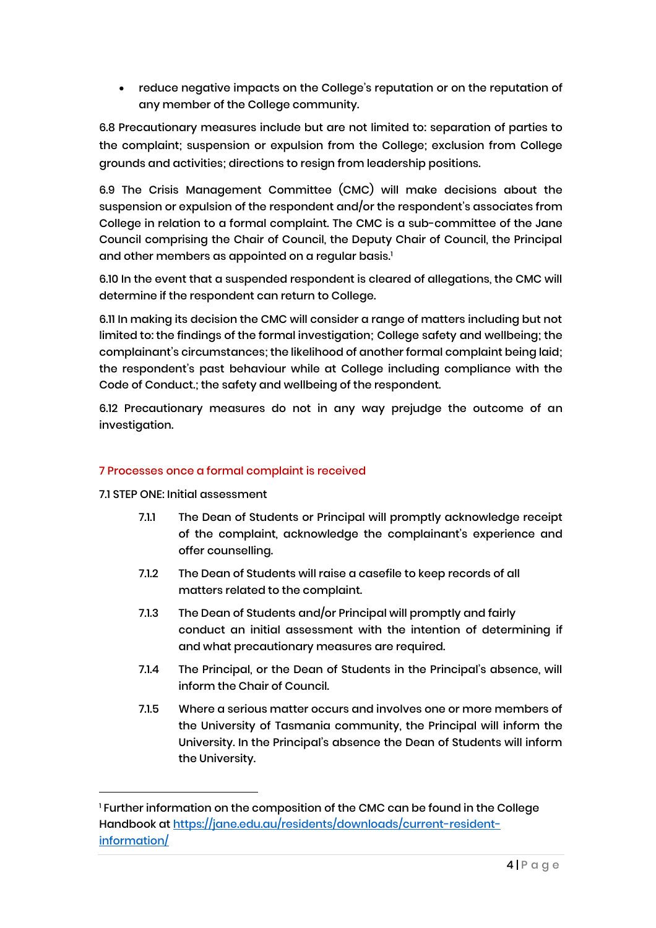• reduce negative impacts on the College's reputation or on the reputation of any member of the College community.

6.8 Precautionary measures include but are not limited to: separation of parties to the complaint; suspension or expulsion from the College; exclusion from College grounds and activities; directions to resign from leadership positions.

6.9 The Crisis Management Committee (CMC) will make decisions about the suspension or expulsion of the respondent and/or the respondent's associates from College in relation to a formal complaint. The CMC is a sub-committee of the Jane Council comprising the Chair of Council, the Deputy Chair of Council, the Principal and other members as appointed on a regular basis.<sup>1</sup>

6.10 In the event that a suspended respondent is cleared of allegations, the CMC will determine if the respondent can return to College.

6.11 In making its decision the CMC will consider a range of matters including but not limited to: the findings of the formal investigation; College safety and wellbeing; the complainant's circumstances; the likelihood of another formal complaint being laid; the respondent's past behaviour while at College including compliance with the Code of Conduct.; the safety and wellbeing of the respondent.

6.12 Precautionary measures do not in any way prejudge the outcome of an investigation.

#### 7 Processes once a formal complaint is received

7.1 STEP ONE: Initial assessment

- 7.1.1 The Dean of Students or Principal will promptly acknowledge receipt of the complaint, acknowledge the complainant's experience and offer counselling.
- 7.1.2 The Dean of Students will raise a casefile to keep records of all matters related to the complaint.
- 7.1.3 The Dean of Students and/or Principal will promptly and fairly conduct an initial assessment with the intention of determining if and what precautionary measures are required.
- 7.1.4 The Principal, or the Dean of Students in the Principal's absence, will inform the Chair of Council.
- 7.1.5 Where a serious matter occurs and involves one or more members of the University of Tasmania community, the Principal will inform the University. In the Principal's absence the Dean of Students will inform the University.

<sup>&</sup>lt;sup>1</sup> Further information on the composition of the CMC can be found in the College Handbook at [https://jane.edu.au/residents/downloads/current-resident](https://jane.edu.au/residents/downloads/current-resident-information/)[information/](https://jane.edu.au/residents/downloads/current-resident-information/)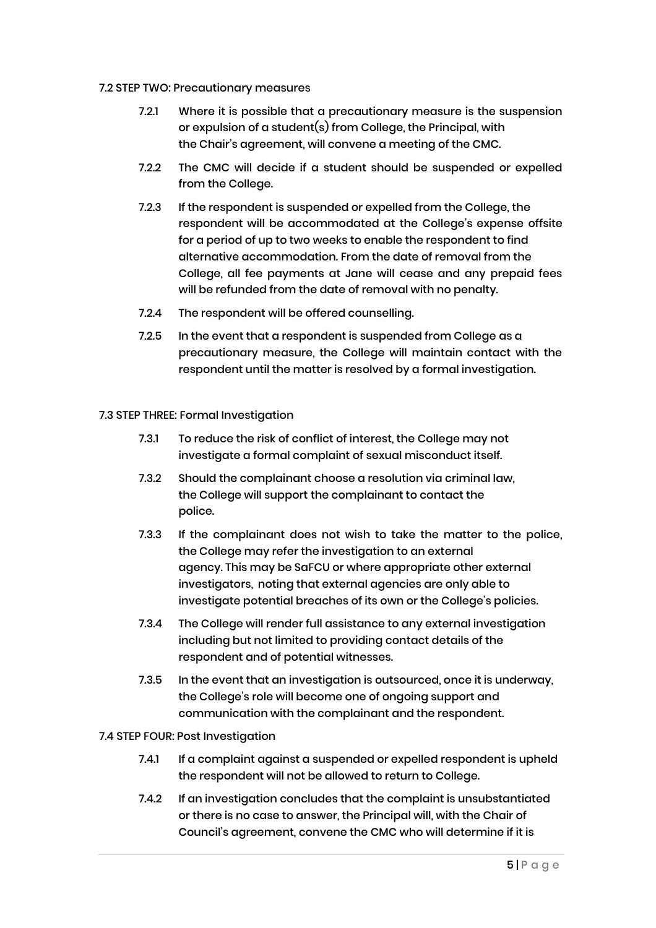#### 7.2 STEP TWO: Precautionary measures

- 7.2.1 Where it is possible that a precautionary measure is the suspension or expulsion of a student(s) from College, the Principal, with the Chair's agreement, will convene a meeting of the CMC.
- 7.2.2 The CMC will decide if a student should be suspended or expelled from the College.
- 7.2.3 If the respondent is suspended or expelled from the College, the respondent will be accommodated at the College's expense offsite for a period of up to two weeks to enable the respondent to find alternative accommodation. From the date of removal from the College, all fee payments at Jane will cease and any prepaid fees will be refunded from the date of removal with no penalty.
- 7.2.4 The respondent will be offered counselling.
- 7.2.5 In the event that a respondent is suspended from College as a precautionary measure, the College will maintain contact with the respondent until the matter is resolved by a formal investigation.

#### 7.3 STEP THREE: Formal Investigation

- 7.3.1 To reduce the risk of conflict of interest, the College may not investigate a formal complaint of sexual misconduct itself.
- 7.3.2 Should the complainant choose a resolution via criminal law, the College will support the complainant to contact the police.
- 7.3.3 If the complainant does not wish to take the matter to the police, the College may refer the investigation to an external agency. This may be SaFCU or where appropriate other external investigators, noting that external agencies are only able to investigate potential breaches of its own or the College's policies.
- 7.3.4 The College will render full assistance to any external investigation including but not limited to providing contact details of the respondent and of potential witnesses.
- 7.3.5 In the event that an investigation is outsourced, once it is underway, the College's role will become one of ongoing support and communication with the complainant and the respondent.

#### 7.4 STEP FOUR: Post Investigation

- 7.4.1 If a complaint against a suspended or expelled respondent is upheld the respondent will not be allowed to return to College.
- 7.4.2 If an investigation concludes that the complaint is unsubstantiated or there is no case to answer, the Principal will, with the Chair of Council's agreement, convene the CMC who will determine if it is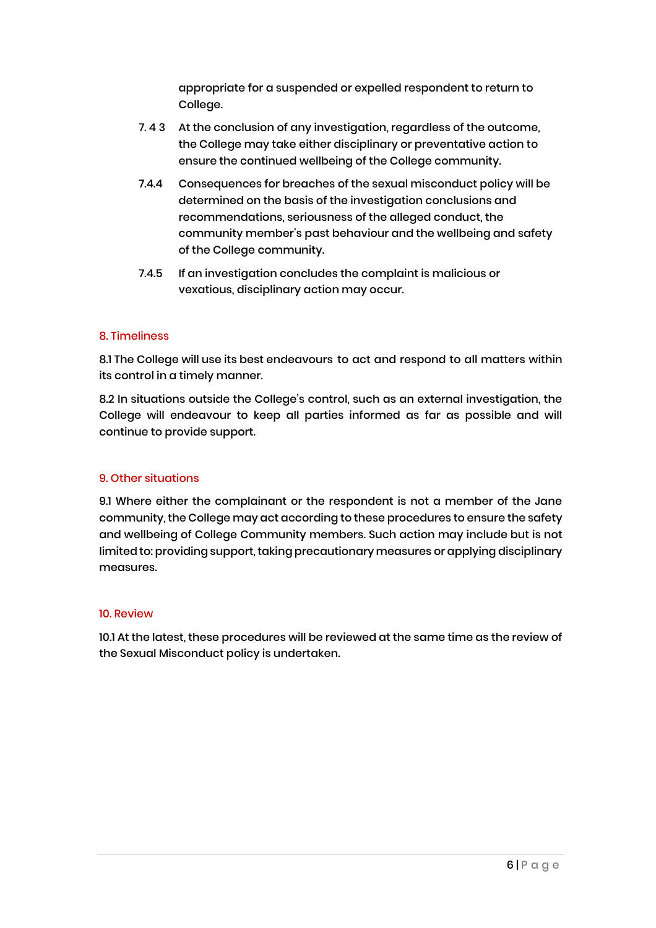appropriate for a suspended or expelled respondent to return to College.

- 7.43 At the conclusion of any investigation, regardless of the outcome, the College may take either disciplinary or preventative action to ensure the continued wellbeing of the College community.
- 7.4.4 Consequences for breaches of the sexual misconduct policy will be determined on the basis of the investigation conclusions and recommendations, seriousness of the alleged conduct, the community member's past behaviour and the wellbeing and safety of the College community.
- 7.4.5 If an investigation concludes the complaint is malicious or vexatious, disciplinary action may occur.

#### 8. Timeliness

8.1 The College will use its best endeavours to act and respond to all matters within its control in a timely manner.

8.2 In situations outside the College's control, such as an external investigation, the College will endeavour to keep all parties informed as far as possible and will continue to provide support.

#### 9. Other situations

9.1 Where either the complainant or the respondent is not a member of the Jane community, the College may act according to these procedures to ensure the safety and wellbeing of College Community members. Such action may include but is not limited to: providing support, taking precautionary measures or applying disciplinary measures.

#### 10. Review

10.1 At the latest, these procedures will be reviewed at the same time as the review of the Sexual Misconduct policy is undertaken.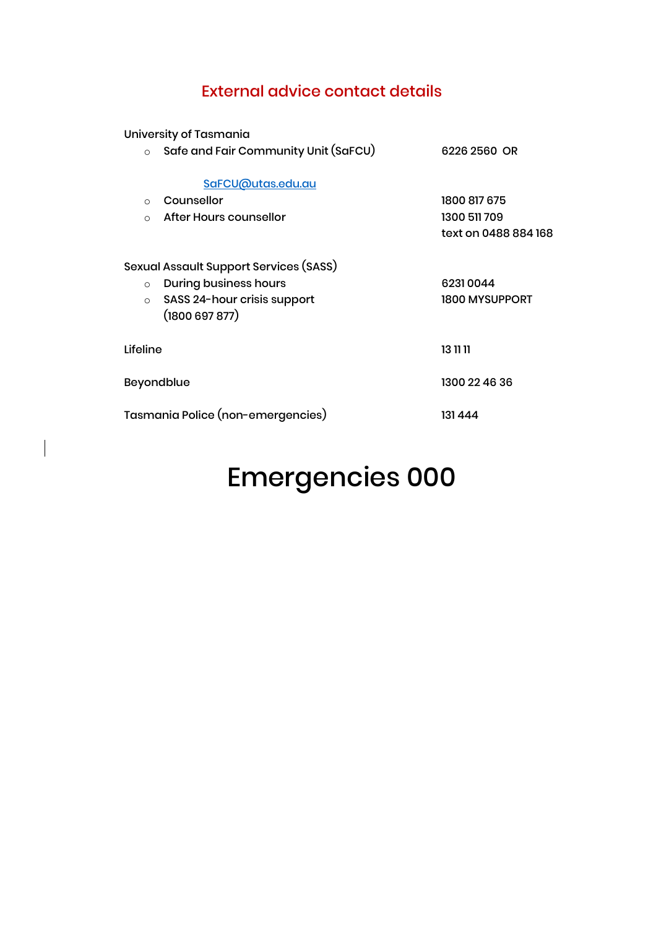### External advice contact details

University of Tasmania

 $\begin{array}{c} \hline \end{array}$ 

| $\circ$                           | Safe and Fair Community Unit (SaFCU)                                                                                  | 6226 2560 OR                                         |
|-----------------------------------|-----------------------------------------------------------------------------------------------------------------------|------------------------------------------------------|
| $\Omega$<br>$\Omega$              | SaFCU@utas.edu.au<br>Counsellor<br>After Hours counsellor                                                             | 1800 817 675<br>1300 511 709<br>text on 0488 884 168 |
| $\circ$<br>$\circ$                | Sexual Assault Support Services (SASS)<br><b>During business hours</b><br>SASS 24-hour crisis support<br>(1800697877) | 62310044<br><b>1800 MYSUPPORT</b>                    |
| Lifeline                          |                                                                                                                       | 13 11 11                                             |
| Beyondblue                        |                                                                                                                       | 1300 22 46 36                                        |
| Tasmania Police (non-emergencies) |                                                                                                                       | 131 444                                              |
|                                   |                                                                                                                       |                                                      |

# Emergencies 000